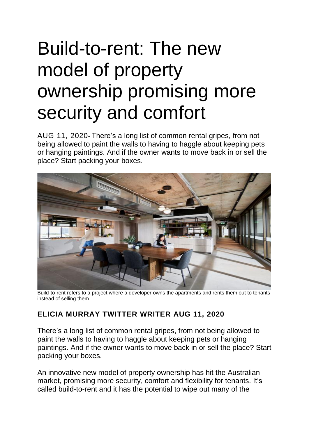## Build-to-rent: The new model of property ownership promising more security and comfort

AUG 11, 2020- There's a long list of common rental gripes, from not being allowed to paint the walls to having to haggle about keeping pets or hanging paintings. And if the owner wants to move back in or sell the place? Start packing your boxes.



Build-to-rent refers to a project where a developer owns the apartments and rents them out to tenants instead of selling them.

## **ELICIA [MURRAY](https://www.domain.com.au/news/author/elicia-murray/) [TWITTER](https://twitter.com/eliciamurray) WRITER AUG 11, 2020**

There's a long list of common rental gripes, from not being allowed to paint the walls to having to haggle about keeping pets or hanging paintings. And if the owner wants to move back in or sell the place? Start packing your boxes.

An innovative new model of property ownership has hit the Australian market, promising more security, comfort and flexibility for tenants. It's called build-to-rent and it has the potential to wipe out many of the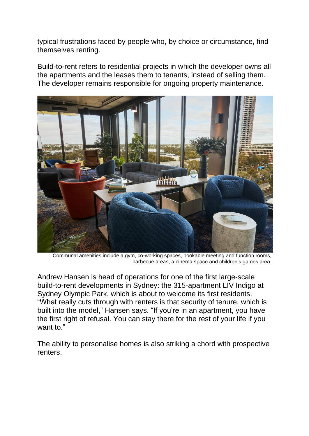typical frustrations faced by people who, by choice or circumstance, find themselves renting.

Build-to-rent refers to residential projects in which the developer owns all the apartments and the leases them to tenants, instead of selling them. The developer remains responsible for ongoing property maintenance.



Communal amenities include a gym, co-working spaces, bookable meeting and function rooms, barbecue areas, a cinema space and children's games area.

Andrew Hansen is head of operations for one of the first large-scale build-to-rent developments in Sydney: the 315-apartment LIV Indigo at Sydney Olympic Park, which is about to welcome its first residents. "What really cuts through with renters is that security of tenure, which is built into the model," Hansen says. "If you're in an apartment, you have the first right of refusal. You can stay there for the rest of your life if you want to."

The ability to personalise homes is also striking a chord with prospective renters.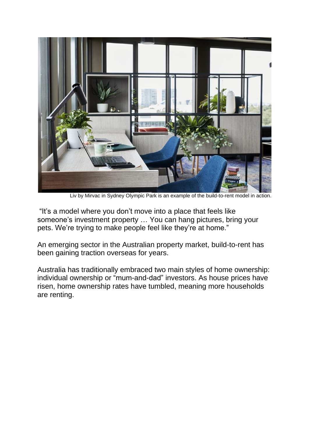

Liv by Mirvac in Sydney Olympic Park is an example of the build-to-rent model in action.

"It's a model where you don't move into a place that feels like someone's investment property … You can hang pictures, bring your pets. We're trying to make people feel like they're at home."

An emerging sector in the Australian property market, build-to-rent has been gaining traction overseas for years.

Australia has traditionally embraced two main styles of home ownership: individual ownership or "mum-and-dad" investors. As house prices have risen, home ownership rates have tumbled, meaning more households are renting.